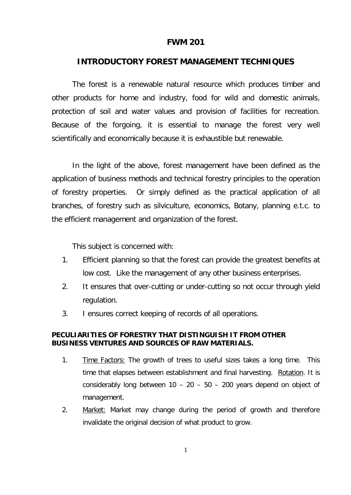## **FWM 201**

## **INTRODUCTORY FOREST MANAGEMENT TECHNIQUES**

The forest is a renewable natural resource which produces timber and other products for home and industry, food for wild and domestic animals, protection of soil and water values and provision of facilities for recreation. Because of the forgoing, it is essential to manage the forest very well scientifically and economically because it is exhaustible but renewable.

In the light of the above, forest management have been defined as the application of business methods and technical forestry principles to the operation of forestry properties. Or simply defined as the practical application of all branches, of forestry such as silviculture, economics, Botany, planning e.t.c. to the efficient management and organization of the forest.

This subject is concerned with:

- 1. Efficient planning so that the forest can provide the greatest benefits at low cost. Like the management of any other business enterprises.
- 2. It ensures that over-cutting or under-cutting so not occur through yield regulation.
- 3. I ensures correct keeping of records of all operations.

## **PECULIARITIES OF FORESTRY THAT DISTINGUISH IT FROM OTHER BUSINESS VENTURES AND SOURCES OF RAW MATERIALS.**

- 1. Time Factors: The growth of trees to useful sizes takes a long time. This time that elapses between establishment and final harvesting. Rotation. It is considerably long between  $10 - 20 - 50 - 200$  years depend on object of management.
- 2. Market: Market may change during the period of growth and therefore invalidate the original decision of what product to grow.

1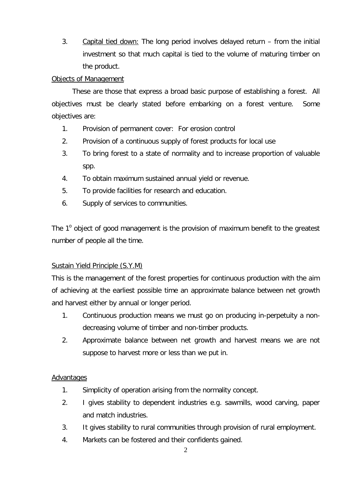3. Capital tied down: The long period involves delayed return – from the initial investment so that much capital is tied to the volume of maturing timber on the product.

# Objects of Management

These are those that express a broad basic purpose of establishing a forest. All objectives must be clearly stated before embarking on a forest venture. Some objectives are:

- 1. Provision of permanent cover: For erosion control
- 2. Provision of a continuous supply of forest products for local use
- 3. To bring forest to a state of normality and to increase proportion of valuable spp.
- 4. To obtain maximum sustained annual yield or revenue.
- 5. To provide facilities for research and education.
- 6. Supply of services to communities.

The  $1^{\circ}$  object of good management is the provision of maximum benefit to the greatest number of people all the time.

# Sustain Yield Principle (S.Y.M)

This is the management of the forest properties for continuous production with the aim of achieving at the earliest possible time an approximate balance between net growth and harvest either by annual or longer period.

- 1. Continuous production means we must go on producing in-perpetuity a nondecreasing volume of timber and non-timber products.
- 2. Approximate balance between net growth and harvest means we are not suppose to harvest more or less than we put in.

# **Advantages**

- 1. Simplicity of operation arising from the normality concept.
- 2. I gives stability to dependent industries e.g. sawmills, wood carving, paper and match industries.
- 3. It gives stability to rural communities through provision of rural employment.
- 4. Markets can be fostered and their confidents gained.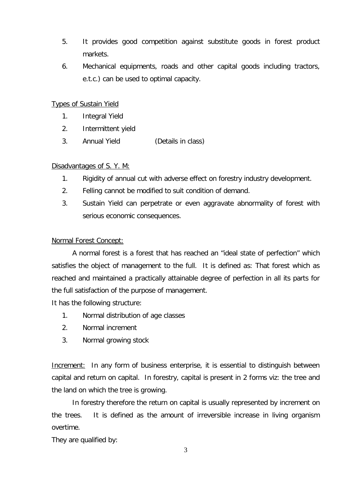- 5. It provides good competition against substitute goods in forest product markets.
- 6. Mechanical equipments, roads and other capital goods including tractors, e.t.c.) can be used to optimal capacity.

# Types of Sustain Yield

- 1. Integral Yield
- 2. Intermittent yield
- 3. Annual Yield (Details in class)

# Disadvantages of S.Y. M:

- 1. Rigidity of annual cut with adverse effect on forestry industry development.
- 2. Felling cannot be modified to suit condition of demand.
- 3. Sustain Yield can perpetrate or even aggravate abnormality of forest with serious economic consequences.

# Normal Forest Concept:

A normal forest is a forest that has reached an "ideal state of perfection" which satisfies the object of management to the full. It is defined as: That forest which as reached and maintained a practically attainable degree of perfection in all its parts for the full satisfaction of the purpose of management.

It has the following structure:

- 1. Normal distribution of age classes
- 2. Normal increment
- 3. Normal growing stock

**Increment:** In any form of business enterprise, it is essential to distinguish between capital and return on capital. In forestry, capital is present in 2 forms viz: the tree and the land on which the tree is growing.

In forestry therefore the return on capital is usually represented by increment on the trees. It is defined as the amount of irreversible increase in living organism overtime.

They are qualified by: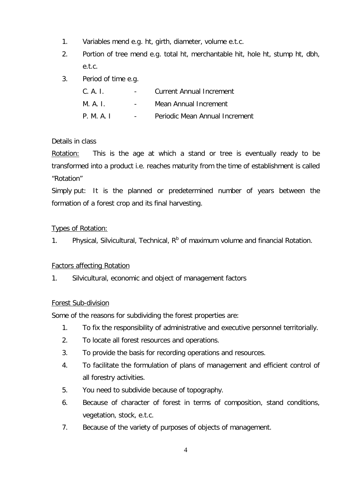- 1. Variables mend e.g. ht, girth, diameter, volume e.t.c.
- 2. Portion of tree mend e.g. total ht, merchantable hit, hole ht, stump ht, dbh, e.t.c.
- 3. Period of time e.g.

| C. A. I. |        | Current Annual Increment       |  |
|----------|--------|--------------------------------|--|
| M. A. I. |        | Mean Annual Increment          |  |
| PMAI     | $\sim$ | Periodic Mean Annual Increment |  |

# Details in class

Rotation: This is the age at which a stand or tree is eventually ready to be transformed into a product i.e. reaches maturity from the time of establishment is called "Rotation"

Simply put: It is the planned or predetermined number of years between the formation of a forest crop and its final harvesting.

# Types of Rotation:

1. Physical, Silvicultural, Technical,  $R<sup>b</sup>$  of maximum volume and financial Rotation.

## **Factors affecting Rotation**

1. Silvicultural, economic and object of management factors

## Forest Sub-division

Some of the reasons for subdividing the forest properties are:

- 1. To fix the responsibility of administrative and executive personnel territorially.
- 2. To locate all forest resources and operations.
- 3. To provide the basis for recording operations and resources.
- 4. To facilitate the formulation of plans of management and efficient control of all forestry activities.
- 5. You need to subdivide because of topography.
- 6. Because of character of forest in terms of composition, stand conditions, vegetation, stock, e.t.c.
- 7. Because of the variety of purposes of objects of management.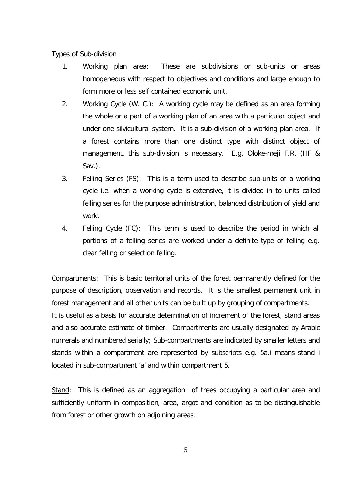### Types of Sub-division

- 1. Working plan area: These are subdivisions or sub-units or areas homogeneous with respect to objectives and conditions and large enough to form more or less self contained economic unit.
- 2. Working Cycle (W. C.): A working cycle may be defined as an area forming the whole or a part of a working plan of an area with a particular object and under one silvicultural system. It is a sub-division of a working plan area. If a forest contains more than one distinct type with distinct object of management, this sub-division is necessary. E.g. Oloke-meji F.R. (HF & Sav.).
- 3. Felling Series (FS): This is a term used to describe sub-units of a working cycle i.e. when a working cycle is extensive, it is divided in to units called felling series for the purpose administration, balanced distribution of yield and work.
- 4. Felling Cycle (FC): This term is used to describe the period in which all portions of a felling series are worked under a definite type of felling e.g. clear felling or selection felling.

Compartments: This is basic territorial units of the forest permanently defined for the purpose of description, observation and records. It is the smallest permanent unit in forest management and all other units can be built up by grouping of compartments.

It is useful as a basis for accurate determination of increment of the forest, stand areas and also accurate estimate of timber. Compartments are usually designated by Arabic numerals and numbered serially; Sub-compartments are indicated by smaller letters and stands within a compartment are represented by subscripts e.g. 5a.i means stand i located in sub-compartment 'a' and within compartment 5.

Stand: This is defined as an aggregation of trees occupying a particular area and sufficiently uniform in composition, area, argot and condition as to be distinguishable from forest or other growth on adjoining areas.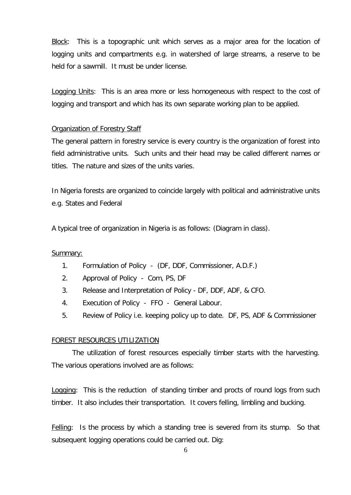Block: This is a topographic unit which serves as a major area for the location of logging units and compartments e.g. in watershed of large streams, a reserve to be held for a sawmill. It must be under license.

Logging Units: This is an area more or less homogeneous with respect to the cost of logging and transport and which has its own separate working plan to be applied.

## Organization of Forestry Staff

The general pattern in forestry service is every country is the organization of forest into field administrative units. Such units and their head may be called different names or titles. The nature and sizes of the units varies.

In Nigeria forests are organized to coincide largely with political and administrative units e.g. States and Federal

A typical tree of organization in Nigeria is as follows: (Diagram in class).

### Summary:

- 1. Formulation of Policy (DF, DDF, Commissioner, A.D.F.)
- 2. Approval of Policy Com, PS, DF
- 3. Release and Interpretation of Policy DF, DDF, ADF, & CFO.
- 4. Execution of Policy FFO General Labour.
- 5. Review of Policy i.e. keeping policy up to date. DF, PS, ADF & Commissioner

#### FOREST RESOURCES UTILIZATION

The utilization of forest resources especially timber starts with the harvesting. The various operations involved are as follows:

Logging: This is the reduction of standing timber and procts of round logs from such timber. It also includes their transportation. It covers felling, limbling and bucking.

Felling: Is the process by which a standing tree is severed from its stump. So that subsequent logging operations could be carried out. Dig: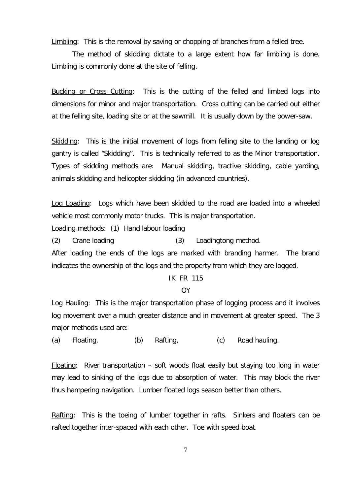Limbling: This is the removal by saving or chopping of branches from a felled tree.

The method of skidding dictate to a large extent how far limbling is done. Limbling is commonly done at the site of felling.

Bucking or Cross Cutting: This is the cutting of the felled and limbed logs into dimensions for minor and major transportation. Cross cutting can be carried out either at the felling site, loading site or at the sawmill. It is usually down by the power-saw.

Skidding: This is the initial movement of logs from felling site to the landing or log gantry is called "Skidding". This is technically referred to as the Minor transportation. Types of skidding methods are: Manual skidding, tractive skidding, cable yarding, animals skidding and helicopter skidding (in advanced countries).

Log Loading: Logs which have been skidded to the road are loaded into a wheeled vehicle most commonly motor trucks. This is major transportation.

Loading methods: (1) Hand labour loading

(2) Crane loading (3) Loadingtong method.

After loading the ends of the logs are marked with branding harmer. The brand indicates the ownership of the logs and the property from which they are logged.

### IK FR 115

#### OY

Log Hauling: This is the major transportation phase of logging process and it involves log movement over a much greater distance and in movement at greater speed. The 3 major methods used are:

(a) Floating, (b) Rafting, (c) Road hauling.

Floating: River transportation – soft woods float easily but staying too long in water may lead to sinking of the logs due to absorption of water. This may block the river thus hampering navigation. Lumber floated logs season better than others.

Rafting: This is the toeing of lumber together in rafts. Sinkers and floaters can be rafted together inter-spaced with each other. Toe with speed boat.

7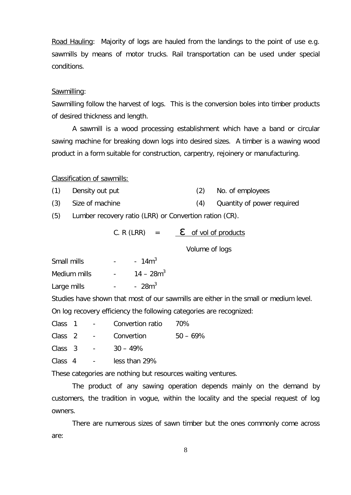Road Hauling: Majority of logs are hauled from the landings to the point of use e.g. sawmills by means of motor trucks. Rail transportation can be used under special conditions.

#### Sawmilling:

Sawmilling follow the harvest of logs. This is the conversion boles into timber products of desired thickness and length.

A sawmill is a wood processing establishment which have a band or circular sawing machine for breaking down logs into desired sizes. A timber is a wawing wood product in a form suitable for construction, carpentry, rejoinery or manufacturing.

#### Classification of sawmills:

- (1) Density out put (2) No. of employees
- (3) Size of machine (4) Quantity of power required

(5) Lumber recovery ratio (LRR) or Convertion ration (CR).

| C. R (LRR) | $=$ | $\epsilon$ of vol of products |
|------------|-----|-------------------------------|
|            |     | Volume of logs                |

Small mills  $\sim$  -  $\sim$  14m<sup>3</sup> Medium mills  $14 - 28m<sup>3</sup>$ Large mills  $\sim$  -  $\sim$  28m<sup>3</sup>

Studies have shown that most of our sawmills are either in the small or medium level. On log recovery efficiency the following categories are recognized:

| Class<br>70%<br>Convertion ratio |  |
|----------------------------------|--|
|----------------------------------|--|

Class  $2 -$  Convertion  $50 - 69\%$ 

 $Class \, 3 \, - \, 30 - 49\%$ 

Class 4 - less than 29%

These categories are nothing but resources waiting ventures.

The product of any sawing operation depends mainly on the demand by customers, the tradition in vogue, within the locality and the special request of log owners.

There are numerous sizes of sawn timber but the ones commonly come across are: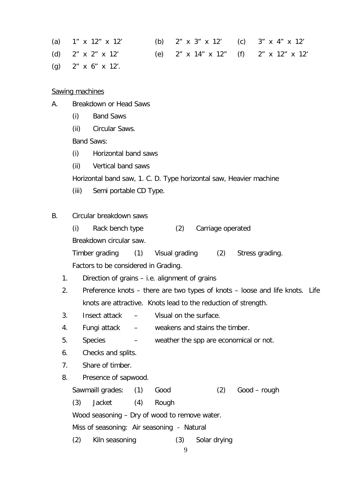| (a) $1'' \times 12'' \times 12'$  | (b) 2" x 3" x 12' (c) 3" x 4" x 12'                    |  |
|-----------------------------------|--------------------------------------------------------|--|
| (d) $2'' \times 2'' \times 12'$   | (e) $2''$ x $14''$ x $12''$ (f) $2''$ x $12''$ x $12'$ |  |
| (g) $2'' \times 6'' \times 12'$ . |                                                        |  |

Sawing machines

- A. Breakdown or Head Saws
	- (i) Band Saws
	- (ii) Circular Saws.

Band Saws:

- (i) Horizontal band saws
- (ii) Vertical band saws

Horizontal band saw, 1. C. D. Type horizontal saw, Heavier machine

(iii) Semi portable CD Type.

## B. Circular breakdown saws

(i) Rack bench type (2) Carriage operated

Breakdown circular saw.

Timber grading (1) Visual grading (2) Stress grading. Factors to be considered in Grading.

- 1. Direction of grains i.e. alignment of grains
- 2. Preference knots there are two types of knots loose and life knots. Life knots are attractive. Knots lead to the reduction of strength.
- 3. Insect attack Visual on the surface.
- 4. Fungi attack weakens and stains the timber.
- 5. Species weather the spp are economical or not.
- 6. Checks and splits.
- 7. Share of timber.
- 8. Presence of sapwood.

Sawmaill grades: (1) Good (2) Good – rough

(3) Jacket (4) Rough

Wood seasoning – Dry of wood to remove water.

Miss of seasoning: Air seasoning - Natural

(2) Kiln seasoning (3) Solar drying

9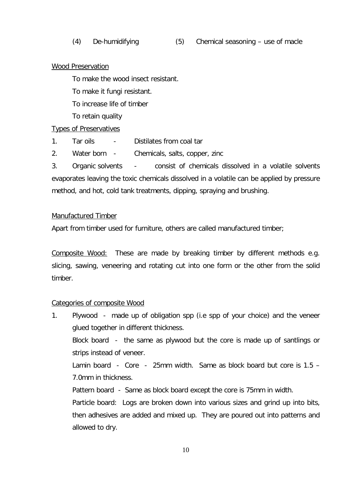### Wood Preservation

To make the wood insect resistant.

To make it fungi resistant.

To increase life of timber

To retain quality

### Types of Preservatives

- 1. Tar oils Distilates from coal tar
- 2. Water born Chemicals, salts, copper, zinc

3. Organic solvents - consist of chemicals dissolved in a volatile solvents evaporates leaving the toxic chemicals dissolved in a volatile can be applied by pressure method, and hot, cold tank treatments, dipping, spraying and brushing.

### Manufactured Timber

Apart from timber used for furniture, others are called manufactured timber;

Composite Wood: These are made by breaking timber by different methods e.g. slicing, sawing, veneering and rotating cut into one form or the other from the solid timber.

### Categories of composite Wood

1. Plywood - made up of obligation spp (i.e spp of your choice) and the veneer glued together in different thickness. Block board - the same as plywood but the core is made up of santlings or strips instead of veneer. Lamin board - Core - 25mm width. Same as block board but core is 1.5 – 7.0mm in thickness. Pattern board - Same as block board except the core is 75mm in width. Particle board: Logs are broken down into various sizes and grind up into bits, then adhesives are added and mixed up. They are poured out into patterns and allowed to dry.